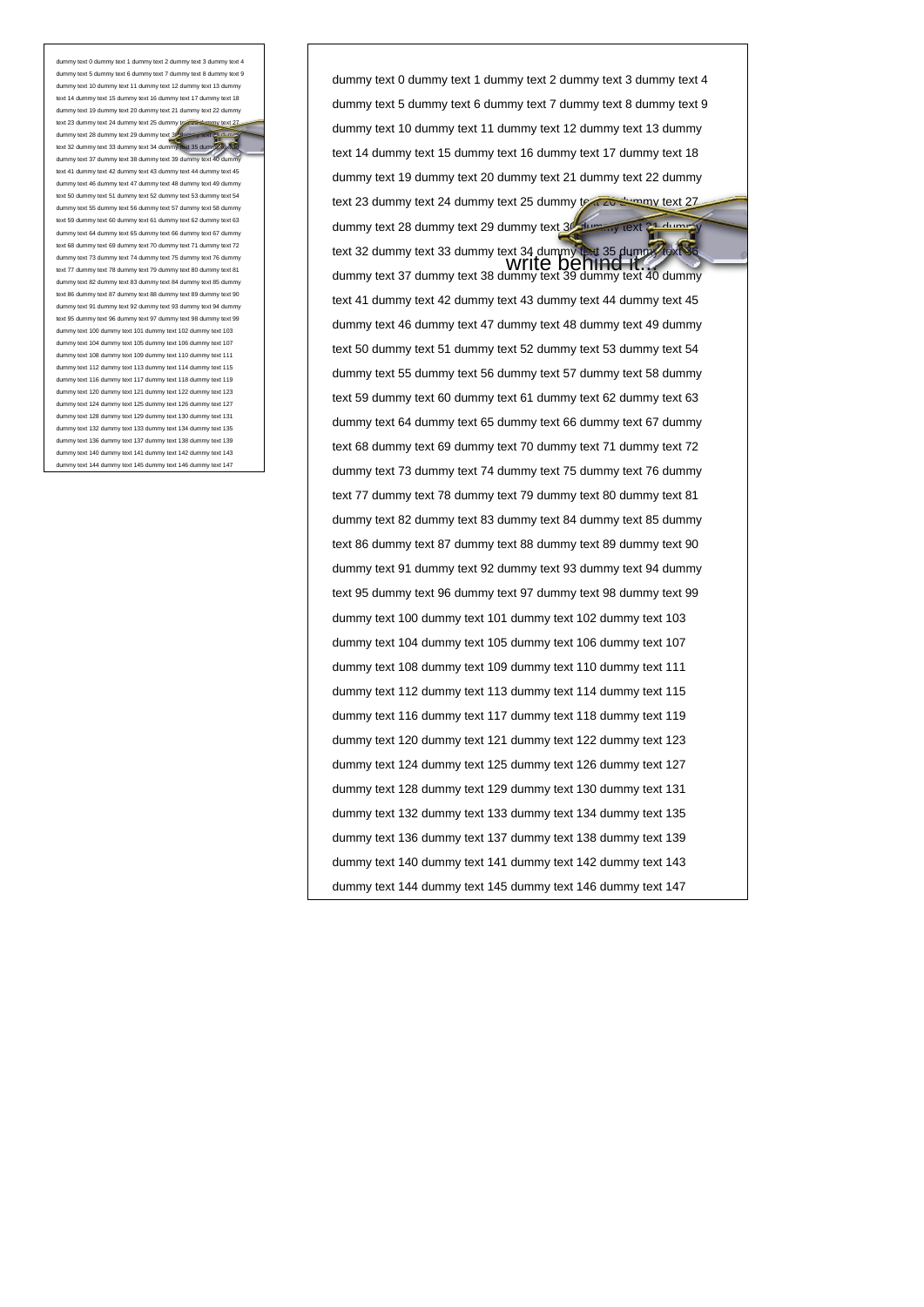dummy text 10 dummy text 11 dummy text 12 dummy text 13 dummy text 14 dummy text 15 dummy text 16 dummy text 17 dummy text 18 dummy text 19 dummy text 20 dummy text 21 dummy text 22 dummy text 23 dummy text 24 dummy text 25 dummy toxt 26 dummy text 28 dummy text 29 dummy text 30 dummy text 34 dummy<br>text 32 dummy text 33 dummy text 34 dummy text 35 dummy Text dummy text 37 dummy text 38 dummy text 39 dum text 41 dummy text 42 dummy text 43 dummy text 44 dummy text 45 dummy text 46 dummy text 47 dummy text 48 dummy text 49 dummy text 50 dummy text 51 dummy text 52 dummy text 53 dummy text 54 my text 55 dummy text 56 dummy text 57 dummy text 58 dummy text 59 dummy text 60 dummy text 61 dummy text 62 dummy text 63 dummy text 64 dummy text 65 dummy text 66 dummy text 67 dummy text 68 dummy text 69 dummy text 70 dummy text 71 dummy text 72 dummy text 73 dummy text 74 dummy text 75 dummy text 76 dummy text 77 dummy text 78 dummy text 79 dummy text 80 dummy text 81 dummy text 82 dummy text 83 dummy text 84 dummy text 85 dummy text 86 dummy text 87 dummy text 88 dummy text 89 dummy text 90 dummy text 91 dummy text 92 dummy text 93 dummy text 94 dummy text 95 dummy text 96 dummy text 97 dummy text 98 dummy text 99 dummy text 100 dummy text 101 dummy text 102 dummy text 103 dummy text 104 dummy text 105 dummy text 106 dummy text 107 dummy text 108 dummy text 109 dummy text 110 dummy text 111 dummy text 112 dummy text 113 dummy text 114 dummy text 115 dummy text 116 dummy text 117 dummy text 118 dummy text 119 dummy text 120 dummy text 121 dummy text 122 dummy text 123 dummy text 124 dummy text 125 dummy text 126 dummy text 127 dummy text 128 dummy text 129 dummy text 130 dummy text 131 dummy text 132 dummy text 133 dummy text 134 dummy text 135 dummy text 136 dummy text 137 dummy text 138 dummy text 139 dummy text 140 dummy text 141 dummy text 142 dummy text 143 dummy text 144 dummy text 145 dummy text 146 dummy text 147

dummy text 0 dummy text 1 dummy text 2 dummy text 3 dummy text 4 dummy text 5 dummy text 6 dummy text 7 dummy text 8 dummy text 9 dummy text 10 dummy text 11 dummy text 12 dummy text 13 dummy text 14 dummy text 15 dummy text 16 dummy text 17 dummy text 18 dummy text 19 dummy text 20 dummy text 21 dummy text 22 dummy text 23 dummy text 24 dummy text 25 dummy text 26 dummy text 27 dummy text 28 dummy text 29 dummy text 3<sup>1</sup> dummy text 31 dum

text 32 dummy text 33 dummy text 34 dummy text 35 dummy text 35 dummy text 35 dummy text 36 dummy text 36 dummy<br>text 35 dummy text 33 dummy text 34 dummy text 35 dummy text 36 dummy text 37 dummy text 38 dummy text 39 dummy text 40 dummy text 41 dummy text 42 dummy text 43 dummy text 44 dummy text 45 dummy text 46 dummy text 47 dummy text 48 dummy text 49 dummy text 50 dummy text 51 dummy text 52 dummy text 53 dummy text 54 dummy text 55 dummy text 56 dummy text 57 dummy text 58 dummy text 59 dummy text 60 dummy text 61 dummy text 62 dummy text 63 dummy text 64 dummy text 65 dummy text 66 dummy text 67 dummy text 68 dummy text 69 dummy text 70 dummy text 71 dummy text 72 dummy text 73 dummy text 74 dummy text 75 dummy text 76 dummy text 77 dummy text 78 dummy text 79 dummy text 80 dummy text 81 dummy text 82 dummy text 83 dummy text 84 dummy text 85 dummy text 86 dummy text 87 dummy text 88 dummy text 89 dummy text 90 dummy text 91 dummy text 92 dummy text 93 dummy text 94 dummy text 95 dummy text 96 dummy text 97 dummy text 98 dummy text 99 dummy text 100 dummy text 101 dummy text 102 dummy text 103 dummy text 104 dummy text 105 dummy text 106 dummy text 107 dummy text 108 dummy text 109 dummy text 110 dummy text 111 dummy text 112 dummy text 113 dummy text 114 dummy text 115 dummy text 116 dummy text 117 dummy text 118 dummy text 119 dummy text 120 dummy text 121 dummy text 122 dummy text 123 dummy text 124 dummy text 125 dummy text 126 dummy text 127 dummy text 128 dummy text 129 dummy text 130 dummy text 131 dummy text 132 dummy text 133 dummy text 134 dummy text 135 dummy text 136 dummy text 137 dummy text 138 dummy text 139 dummy text 140 dummy text 141 dummy text 142 dummy text 143 dummy text 144 dummy text 145 dummy text 146 dummy text 147